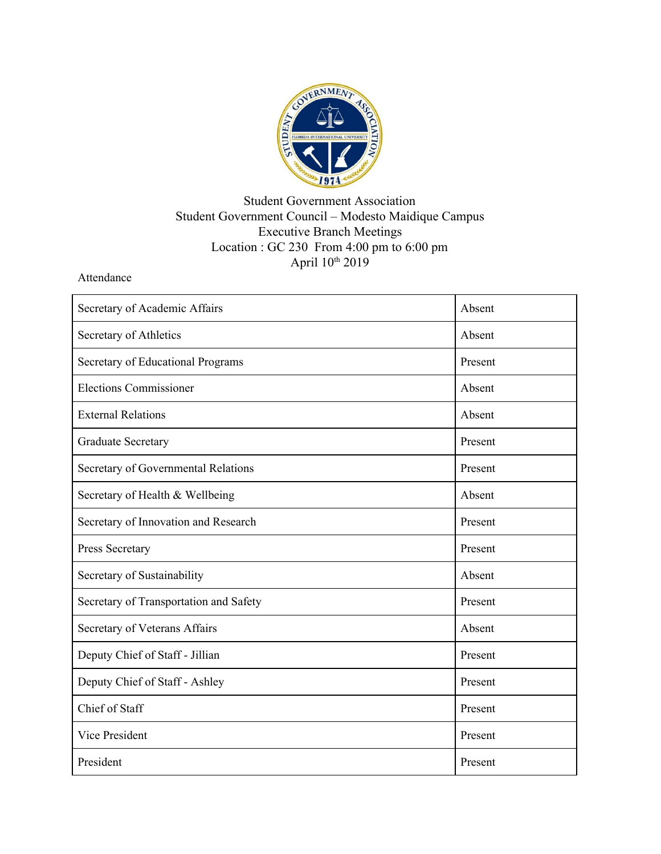

## Student Government Association Student Government Council – Modesto Maidique Campus Executive Branch Meetings Location : GC 230 From 4:00 pm to 6:00 pm April  $10<sup>th</sup> 2019$

Attendance

| Secretary of Academic Affairs          | Absent  |
|----------------------------------------|---------|
| Secretary of Athletics                 | Absent  |
| Secretary of Educational Programs      | Present |
| <b>Elections Commissioner</b>          | Absent  |
| <b>External Relations</b>              | Absent  |
| <b>Graduate Secretary</b>              | Present |
| Secretary of Governmental Relations    | Present |
| Secretary of Health & Wellbeing        | Absent  |
| Secretary of Innovation and Research   | Present |
| Press Secretary                        | Present |
| Secretary of Sustainability            | Absent  |
| Secretary of Transportation and Safety | Present |
| Secretary of Veterans Affairs          | Absent  |
| Deputy Chief of Staff - Jillian        | Present |
| Deputy Chief of Staff - Ashley         | Present |
| Chief of Staff                         | Present |
| <b>Vice President</b>                  | Present |
| President                              | Present |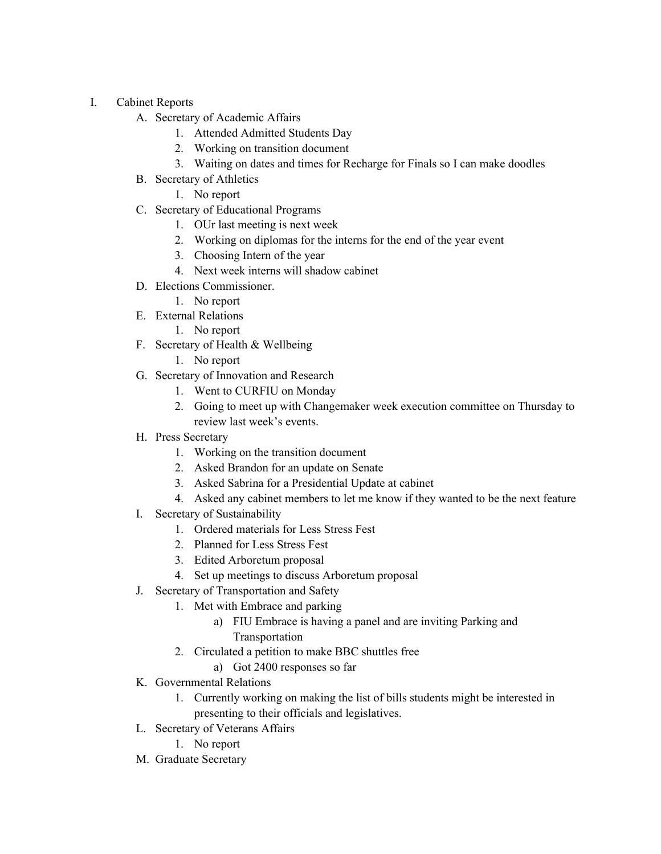- I. Cabinet Reports
	- A. Secretary of Academic Affairs
		- 1. Attended Admitted Students Day
		- 2. Working on transition document
		- 3. Waiting on dates and times for Recharge for Finals so I can make doodles
	- B. Secretary of Athletics
		- 1. No report
	- C. Secretary of Educational Programs
		- 1. OUr last meeting is next week
		- 2. Working on diplomas for the interns for the end of the year event
		- 3. Choosing Intern of the year
		- 4. Next week interns will shadow cabinet
	- D. Elections Commissioner.
		- 1. No report
	- E. External Relations
		- 1. No report
	- F. Secretary of Health & Wellbeing
		- 1. No report
	- G. Secretary of Innovation and Research
		- 1. Went to CURFIU on Monday
		- 2. Going to meet up with Changemaker week execution committee on Thursday to review last week's events.
	- H. Press Secretary
		- 1. Working on the transition document
		- 2. Asked Brandon for an update on Senate
		- 3. Asked Sabrina for a Presidential Update at cabinet
		- 4. Asked any cabinet members to let me know if they wanted to be the next feature
	- I. Secretary of Sustainability
		- 1. Ordered materials for Less Stress Fest
		- 2. Planned for Less Stress Fest
		- 3. Edited Arboretum proposal
		- 4. Set up meetings to discuss Arboretum proposal
	- J. Secretary of Transportation and Safety
		- 1. Met with Embrace and parking
			- a) FIU Embrace is having a panel and are inviting Parking and Transportation
		- 2. Circulated a petition to make BBC shuttles free
			- a) Got 2400 responses so far
	- K. Governmental Relations
		- 1. Currently working on making the list of bills students might be interested in presenting to their officials and legislatives.
	- L. Secretary of Veterans Affairs
		- 1. No report
	- M. Graduate Secretary